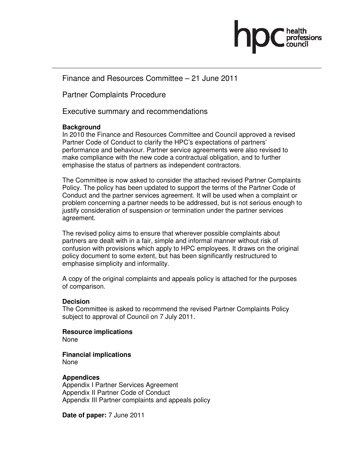

Finance and Resources Committee – 21 June 2011

Partner Complaints Procedure

Executive summary and recommendations

## **Background**

In 2010 the Finance and Resources Committee and Council approved a revised Partner Code of Conduct to clarify the HPC's expectations of partners' performance and behaviour. Partner service agreements were also revised to make compliance with the new code a contractual obligation, and to further emphasise the status of partners as independent contractors.

The Committee is now asked to consider the attached revised Partner Complaints Policy. The policy has been updated to support the terms of the Partner Code of Conduct and the partner services agreement. It will be used when a complaint or problem concerning a partner needs to be addressed, but is not serious enough to justify consideration of suspension or termination under the partner services agreement.

The revised policy aims to ensure that wherever possible complaints about partners are dealt with in a fair, simple and informal manner without risk of confusion with provisions which apply to HPC employees. It draws on the original policy document to some extent, but has been significantly restructured to emphasise simplicity and informality.

A copy of the original complaints and appeals policy is attached for the purposes of comparison.

#### **Decision**

The Committee is asked to recommend the revised Partner Complaints Policy subject to approval of Council on 7 July 2011.

**Resource implications**  None

**Financial implications**  None

#### **Appendices**

Appendix I Partner Services Agreement Appendix II Partner Code of Conduct Appendix III Partner complaints and appeals policy

**Date of paper:** 7 June 2011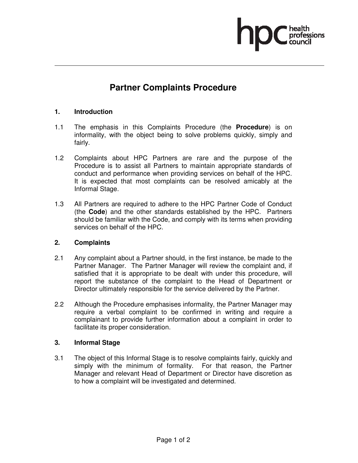

# **Partner Complaints Procedure**

#### **1. Introduction**

- 1.1 The emphasis in this Complaints Procedure (the **Procedure**) is on informality, with the object being to solve problems quickly, simply and fairly.
- 1.2 Complaints about HPC Partners are rare and the purpose of the Procedure is to assist all Partners to maintain appropriate standards of conduct and performance when providing services on behalf of the HPC. It is expected that most complaints can be resolved amicably at the Informal Stage.
- 1.3 All Partners are required to adhere to the HPC Partner Code of Conduct (the **Code**) and the other standards established by the HPC. Partners should be familiar with the Code, and comply with its terms when providing services on behalf of the HPC.

#### **2. Complaints**

- 2.1 Any complaint about a Partner should, in the first instance, be made to the Partner Manager. The Partner Manager will review the complaint and, if satisfied that it is appropriate to be dealt with under this procedure, will report the substance of the complaint to the Head of Department or Director ultimately responsible for the service delivered by the Partner.
- 2.2 Although the Procedure emphasises informality, the Partner Manager may require a verbal complaint to be confirmed in writing and require a complainant to provide further information about a complaint in order to facilitate its proper consideration.

#### **3. Informal Stage**

3.1 The object of this Informal Stage is to resolve complaints fairly, quickly and simply with the minimum of formality. For that reason, the Partner Manager and relevant Head of Department or Director have discretion as to how a complaint will be investigated and determined.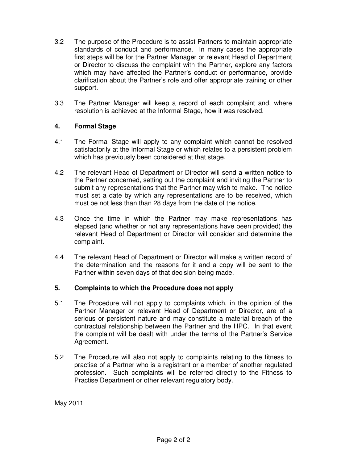- 3.2 The purpose of the Procedure is to assist Partners to maintain appropriate standards of conduct and performance. In many cases the appropriate first steps will be for the Partner Manager or relevant Head of Department or Director to discuss the complaint with the Partner, explore any factors which may have affected the Partner's conduct or performance, provide clarification about the Partner's role and offer appropriate training or other support.
- 3.3 The Partner Manager will keep a record of each complaint and, where resolution is achieved at the Informal Stage, how it was resolved.

## **4. Formal Stage**

- 4.1 The Formal Stage will apply to any complaint which cannot be resolved satisfactorily at the Informal Stage or which relates to a persistent problem which has previously been considered at that stage.
- 4.2 The relevant Head of Department or Director will send a written notice to the Partner concerned, setting out the complaint and inviting the Partner to submit any representations that the Partner may wish to make. The notice must set a date by which any representations are to be received, which must be not less than than 28 days from the date of the notice.
- 4.3 Once the time in which the Partner may make representations has elapsed (and whether or not any representations have been provided) the relevant Head of Department or Director will consider and determine the complaint.
- 4.4 The relevant Head of Department or Director will make a written record of the determination and the reasons for it and a copy will be sent to the Partner within seven days of that decision being made.

#### **5. Complaints to which the Procedure does not apply**

- 5.1 The Procedure will not apply to complaints which, in the opinion of the Partner Manager or relevant Head of Department or Director, are of a serious or persistent nature and may constitute a material breach of the contractual relationship between the Partner and the HPC. In that event the complaint will be dealt with under the terms of the Partner's Service Agreement.
- 5.2 The Procedure will also not apply to complaints relating to the fitness to practise of a Partner who is a registrant or a member of another regulated profession. Such complaints will be referred directly to the Fitness to Practise Department or other relevant regulatory body.

May 2011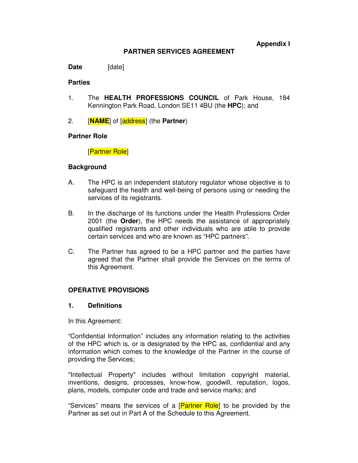**Appendix I** 

#### **PARTNER SERVICES AGREEMENT**

Date [date]

#### **Parties**

- 1. The **HEALTH PROFESSIONS COUNCIL** of Park House, 184 Kennington Park Road, London SE11 4BU (the **HPC**); and
- 2. [**NAME**] of [address] (the **Partner**)

#### **Partner Role**

[Partner Role]

#### **Background**

- A. The HPC is an independent statutory regulator whose objective is to safeguard the health and well-being of persons using or needing the services of its registrants.
- B. In the discharge of its functions under the Health Professions Order 2001 (the **Order**), the HPC needs the assistance of appropriately qualified registrants and other individuals who are able to provide certain services and who are known as "HPC partners".
- C. The Partner has agreed to be a HPC partner and the parties have agreed that the Partner shall provide the Services on the terms of this Agreement.

#### **OPERATIVE PROVISIONS**

#### **1. Definitions**

In this Agreement:

"Confidential Information" includes any information relating to the activities of the HPC which is, or is designated by the HPC as, confidential and any information which comes to the knowledge of the Partner in the course of providing the Services;

"Intellectual Property" includes without limitation copyright material, inventions, designs, processes, know-how, goodwill, reputation, logos, plans, models, computer code and trade and service marks; and

"Services" means the services of a [Partner Role] to be provided by the Partner as set out in Part A of the Schedule to this Agreement.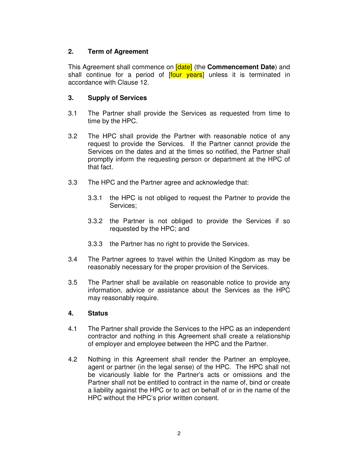## **2. Term of Agreement**

This Agreement shall commence on [date] (the **Commencement Date**) and shall continue for a period of [four years] unless it is terminated in accordance with Clause 12.

## **3. Supply of Services**

- 3.1 The Partner shall provide the Services as requested from time to time by the HPC.
- 3.2 The HPC shall provide the Partner with reasonable notice of any request to provide the Services. If the Partner cannot provide the Services on the dates and at the times so notified, the Partner shall promptly inform the requesting person or department at the HPC of that fact.
- 3.3 The HPC and the Partner agree and acknowledge that:
	- 3.3.1 the HPC is not obliged to request the Partner to provide the Services;
	- 3.3.2 the Partner is not obliged to provide the Services if so requested by the HPC; and
	- 3.3.3 the Partner has no right to provide the Services.
- 3.4 The Partner agrees to travel within the United Kingdom as may be reasonably necessary for the proper provision of the Services.
- 3.5 The Partner shall be available on reasonable notice to provide any information, advice or assistance about the Services as the HPC may reasonably require.

## **4. Status**

- 4.1 The Partner shall provide the Services to the HPC as an independent contractor and nothing in this Agreement shall create a relationship of employer and employee between the HPC and the Partner.
- 4.2 Nothing in this Agreement shall render the Partner an employee, agent or partner (in the legal sense) of the HPC. The HPC shall not be vicariously liable for the Partner's acts or omissions and the Partner shall not be entitled to contract in the name of, bind or create a liability against the HPC or to act on behalf of or in the name of the HPC without the HPC's prior written consent.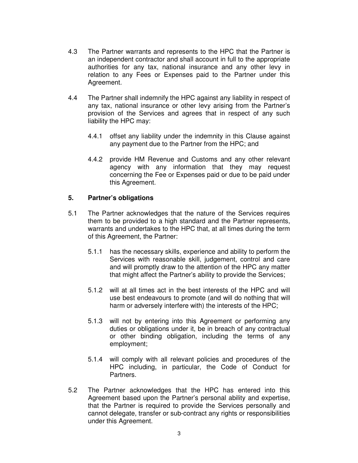- 4.3 The Partner warrants and represents to the HPC that the Partner is an independent contractor and shall account in full to the appropriate authorities for any tax, national insurance and any other levy in relation to any Fees or Expenses paid to the Partner under this Agreement.
- 4.4 The Partner shall indemnify the HPC against any liability in respect of any tax, national insurance or other levy arising from the Partner's provision of the Services and agrees that in respect of any such liability the HPC may:
	- 4.4.1 offset any liability under the indemnity in this Clause against any payment due to the Partner from the HPC; and
	- 4.4.2 provide HM Revenue and Customs and any other relevant agency with any information that they may request concerning the Fee or Expenses paid or due to be paid under this Agreement.

## **5. Partner's obligations**

- 5.1 The Partner acknowledges that the nature of the Services requires them to be provided to a high standard and the Partner represents, warrants and undertakes to the HPC that, at all times during the term of this Agreement, the Partner:
	- 5.1.1 has the necessary skills, experience and ability to perform the Services with reasonable skill, judgement, control and care and will promptly draw to the attention of the HPC any matter that might affect the Partner's ability to provide the Services;
	- 5.1.2 will at all times act in the best interests of the HPC and will use best endeavours to promote (and will do nothing that will harm or adversely interfere with) the interests of the HPC;
	- 5.1.3 will not by entering into this Agreement or performing any duties or obligations under it, be in breach of any contractual or other binding obligation, including the terms of any employment;
	- 5.1.4 will comply with all relevant policies and procedures of the HPC including, in particular, the Code of Conduct for Partners.
- 5.2 The Partner acknowledges that the HPC has entered into this Agreement based upon the Partner's personal ability and expertise, that the Partner is required to provide the Services personally and cannot delegate, transfer or sub-contract any rights or responsibilities under this Agreement.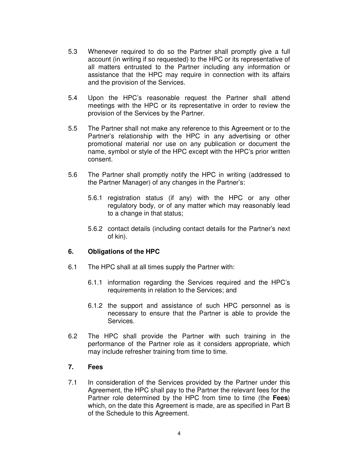- 5.3 Whenever required to do so the Partner shall promptly give a full account (in writing if so requested) to the HPC or its representative of all matters entrusted to the Partner including any information or assistance that the HPC may require in connection with its affairs and the provision of the Services.
- 5.4 Upon the HPC's reasonable request the Partner shall attend meetings with the HPC or its representative in order to review the provision of the Services by the Partner.
- 5.5 The Partner shall not make any reference to this Agreement or to the Partner's relationship with the HPC in any advertising or other promotional material nor use on any publication or document the name, symbol or style of the HPC except with the HPC's prior written consent.
- 5.6 The Partner shall promptly notify the HPC in writing (addressed to the Partner Manager) of any changes in the Partner's:
	- 5.6.1 registration status (if any) with the HPC or any other regulatory body, or of any matter which may reasonably lead to a change in that status;
	- 5.6.2 contact details (including contact details for the Partner's next of kin).

## **6. Obligations of the HPC**

- 6.1 The HPC shall at all times supply the Partner with:
	- 6.1.1 information regarding the Services required and the HPC's requirements in relation to the Services; and
	- 6.1.2 the support and assistance of such HPC personnel as is necessary to ensure that the Partner is able to provide the Services.
- 6.2 The HPC shall provide the Partner with such training in the performance of the Partner role as it considers appropriate, which may include refresher training from time to time.

#### **7. Fees**

7.1 In consideration of the Services provided by the Partner under this Agreement, the HPC shall pay to the Partner the relevant fees for the Partner role determined by the HPC from time to time (the **Fees**) which, on the date this Agreement is made, are as specified in Part B of the Schedule to this Agreement.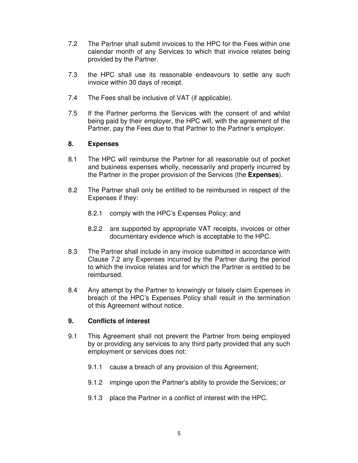- 7.2 The Partner shall submit invoices to the HPC for the Fees within one calendar month of any Services to which that invoice relates being provided by the Partner.
- 7.3 the HPC shall use its reasonable endeavours to settle any such invoice within 30 days of receipt.
- 7.4 The Fees shall be inclusive of VAT (if applicable).
- 7.5 If the Partner performs the Services with the consent of and whilst being paid by their employer, the HPC will, with the agreement of the Partner, pay the Fees due to that Partner to the Partner's employer.

## **8. Expenses**

- 8.1 The HPC will reimburse the Partner for all reasonable out of pocket and business expenses wholly, necessarily and properly incurred by the Partner in the proper provision of the Services (the **Expenses**).
- 8.2 The Partner shall only be entitled to be reimbursed in respect of the Expenses if they:
	- 8.2.1 comply with the HPC's Expenses Policy; and
	- 8.2.2 are supported by appropriate VAT receipts, invoices or other documentary evidence which is acceptable to the HPC.
- 8.3 The Partner shall include in any invoice submitted in accordance with Clause 7.2 any Expenses incurred by the Partner during the period to which the invoice relates and for which the Partner is entitled to be reimbursed.
- 8.4 Any attempt by the Partner to knowingly or falsely claim Expenses in breach of the HPC's Expenses Policy shall result in the termination of this Agreement without notice.

#### **9. Conflicts of interest**

- 9.1 This Agreement shall not prevent the Partner from being employed by or providing any services to any third party provided that any such employment or services does not:
	- 9.1.1 cause a breach of any provision of this Agreement;
	- 9.1.2 impinge upon the Partner's ability to provide the Services; or
	- 9.1.3 place the Partner in a conflict of interest with the HPC.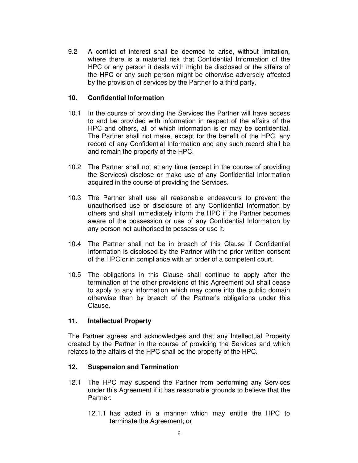9.2 A conflict of interest shall be deemed to arise, without limitation, where there is a material risk that Confidential Information of the HPC or any person it deals with might be disclosed or the affairs of the HPC or any such person might be otherwise adversely affected by the provision of services by the Partner to a third party.

### **10. Confidential Information**

- 10.1 In the course of providing the Services the Partner will have access to and be provided with information in respect of the affairs of the HPC and others, all of which information is or may be confidential. The Partner shall not make, except for the benefit of the HPC, any record of any Confidential Information and any such record shall be and remain the property of the HPC.
- 10.2 The Partner shall not at any time (except in the course of providing the Services) disclose or make use of any Confidential Information acquired in the course of providing the Services.
- 10.3 The Partner shall use all reasonable endeavours to prevent the unauthorised use or disclosure of any Confidential Information by others and shall immediately inform the HPC if the Partner becomes aware of the possession or use of any Confidential Information by any person not authorised to possess or use it.
- 10.4 The Partner shall not be in breach of this Clause if Confidential Information is disclosed by the Partner with the prior written consent of the HPC or in compliance with an order of a competent court.
- 10.5 The obligations in this Clause shall continue to apply after the termination of the other provisions of this Agreement but shall cease to apply to any information which may come into the public domain otherwise than by breach of the Partner's obligations under this Clause.

## **11. Intellectual Property**

The Partner agrees and acknowledges and that any Intellectual Property created by the Partner in the course of providing the Services and which relates to the affairs of the HPC shall be the property of the HPC.

## **12. Suspension and Termination**

- 12.1 The HPC may suspend the Partner from performing any Services under this Agreement if it has reasonable grounds to believe that the Partner:
	- 12.1.1 has acted in a manner which may entitle the HPC to terminate the Agreement; or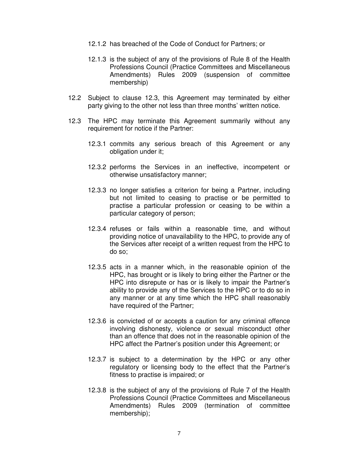- 12.1.2 has breached of the Code of Conduct for Partners; or
- 12.1.3 is the subject of any of the provisions of Rule 8 of the Health Professions Council (Practice Committees and Miscellaneous Amendments) Rules 2009 (suspension of committee membership)
- 12.2 Subject to clause 12.3, this Agreement may terminated by either party giving to the other not less than three months' written notice.
- 12.3 The HPC may terminate this Agreement summarily without any requirement for notice if the Partner:
	- 12.3.1 commits any serious breach of this Agreement or any obligation under it;
	- 12.3.2 performs the Services in an ineffective, incompetent or otherwise unsatisfactory manner;
	- 12.3.3 no longer satisfies a criterion for being a Partner, including but not limited to ceasing to practise or be permitted to practise a particular profession or ceasing to be within a particular category of person;
	- 12.3.4 refuses or fails within a reasonable time, and without providing notice of unavailability to the HPC, to provide any of the Services after receipt of a written request from the HPC to do so;
	- 12.3.5 acts in a manner which, in the reasonable opinion of the HPC, has brought or is likely to bring either the Partner or the HPC into disrepute or has or is likely to impair the Partner's ability to provide any of the Services to the HPC or to do so in any manner or at any time which the HPC shall reasonably have required of the Partner;
	- 12.3.6 is convicted of or accepts a caution for any criminal offence involving dishonesty, violence or sexual misconduct other than an offence that does not in the reasonable opinion of the HPC affect the Partner's position under this Agreement; or
	- 12.3.7 is subject to a determination by the HPC or any other regulatory or licensing body to the effect that the Partner's fitness to practise is impaired; or
	- 12.3.8 is the subject of any of the provisions of Rule 7 of the Health Professions Council (Practice Committees and Miscellaneous Amendments) Rules 2009 (termination of committee membership);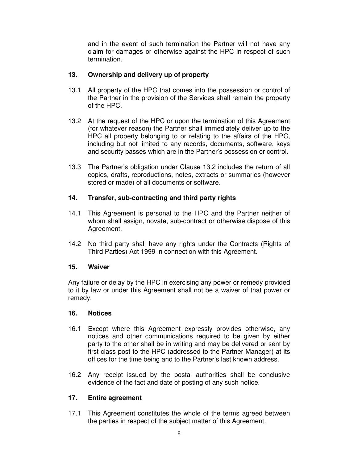and in the event of such termination the Partner will not have any claim for damages or otherwise against the HPC in respect of such termination.

## **13. Ownership and delivery up of property**

- 13.1 All property of the HPC that comes into the possession or control of the Partner in the provision of the Services shall remain the property of the HPC.
- 13.2 At the request of the HPC or upon the termination of this Agreement (for whatever reason) the Partner shall immediately deliver up to the HPC all property belonging to or relating to the affairs of the HPC, including but not limited to any records, documents, software, keys and security passes which are in the Partner's possession or control.
- 13.3 The Partner's obligation under Clause 13.2 includes the return of all copies, drafts, reproductions, notes, extracts or summaries (however stored or made) of all documents or software.

## **14. Transfer, sub-contracting and third party rights**

- 14.1 This Agreement is personal to the HPC and the Partner neither of whom shall assign, novate, sub-contract or otherwise dispose of this Agreement.
- 14.2 No third party shall have any rights under the Contracts (Rights of Third Parties) Act 1999 in connection with this Agreement.

#### **15. Waiver**

Any failure or delay by the HPC in exercising any power or remedy provided to it by law or under this Agreement shall not be a waiver of that power or remedy.

#### **16. Notices**

- 16.1 Except where this Agreement expressly provides otherwise, any notices and other communications required to be given by either party to the other shall be in writing and may be delivered or sent by first class post to the HPC (addressed to the Partner Manager) at its offices for the time being and to the Partner's last known address.
- 16.2 Any receipt issued by the postal authorities shall be conclusive evidence of the fact and date of posting of any such notice.

## **17. Entire agreement**

17.1 This Agreement constitutes the whole of the terms agreed between the parties in respect of the subject matter of this Agreement.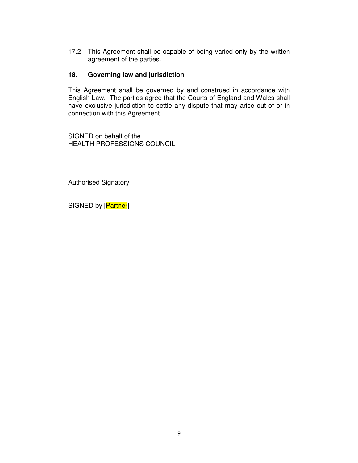17.2 This Agreement shall be capable of being varied only by the written agreement of the parties.

## **18. Governing law and jurisdiction**

This Agreement shall be governed by and construed in accordance with English Law. The parties agree that the Courts of England and Wales shall have exclusive jurisdiction to settle any dispute that may arise out of or in connection with this Agreement

SIGNED on behalf of the HEALTH PROFESSIONS COUNCIL

Authorised Signatory

SIGNED by [Partner]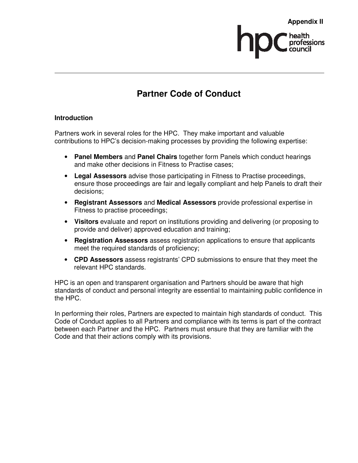# **Partner Code of Conduct**

## **Introduction**

Partners work in several roles for the HPC. They make important and valuable contributions to HPC's decision-making processes by providing the following expertise:

- **Panel Members** and **Panel Chairs** together form Panels which conduct hearings and make other decisions in Fitness to Practise cases;
- **Legal Assessors** advise those participating in Fitness to Practise proceedings, ensure those proceedings are fair and legally compliant and help Panels to draft their decisions;
- **Registrant Assessors** and **Medical Assessors** provide professional expertise in Fitness to practise proceedings;
- **Visitors** evaluate and report on institutions providing and delivering (or proposing to provide and deliver) approved education and training;
- **Registration Assessors** assess registration applications to ensure that applicants meet the required standards of proficiency;
- **CPD Assessors** assess registrants' CPD submissions to ensure that they meet the relevant HPC standards.

HPC is an open and transparent organisation and Partners should be aware that high standards of conduct and personal integrity are essential to maintaining public confidence in the HPC.

In performing their roles, Partners are expected to maintain high standards of conduct. This Code of Conduct applies to all Partners and compliance with its terms is part of the contract between each Partner and the HPC. Partners must ensure that they are familiar with the Code and that their actions comply with its provisions.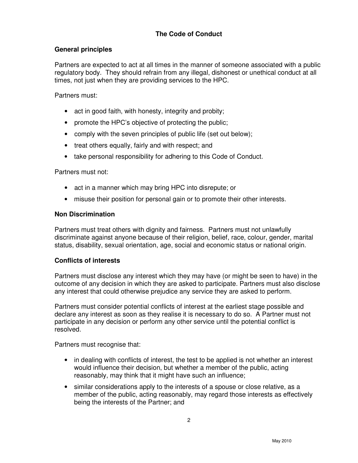# **The Code of Conduct**

#### **General principles**

Partners are expected to act at all times in the manner of someone associated with a public regulatory body. They should refrain from any illegal, dishonest or unethical conduct at all times, not just when they are providing services to the HPC.

Partners must:

- act in good faith, with honesty, integrity and probity;
- promote the HPC's objective of protecting the public;
- comply with the seven principles of public life (set out below);
- treat others equally, fairly and with respect; and
- take personal responsibility for adhering to this Code of Conduct.

Partners must not:

- act in a manner which may bring HPC into disrepute; or
- misuse their position for personal gain or to promote their other interests.

#### **Non Discrimination**

Partners must treat others with dignity and fairness. Partners must not unlawfully discriminate against anyone because of their religion, belief, race, colour, gender, marital status, disability, sexual orientation, age, social and economic status or national origin.

### **Conflicts of interests**

Partners must disclose any interest which they may have (or might be seen to have) in the outcome of any decision in which they are asked to participate. Partners must also disclose any interest that could otherwise prejudice any service they are asked to perform.

Partners must consider potential conflicts of interest at the earliest stage possible and declare any interest as soon as they realise it is necessary to do so. A Partner must not participate in any decision or perform any other service until the potential conflict is resolved.

Partners must recognise that:

- in dealing with conflicts of interest, the test to be applied is not whether an interest would influence their decision, but whether a member of the public, acting reasonably, may think that it might have such an influence;
- similar considerations apply to the interests of a spouse or close relative, as a member of the public, acting reasonably, may regard those interests as effectively being the interests of the Partner; and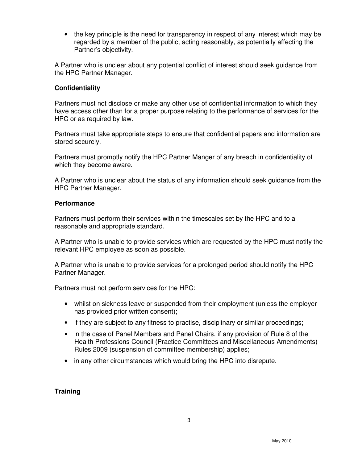• the key principle is the need for transparency in respect of any interest which may be regarded by a member of the public, acting reasonably, as potentially affecting the Partner's objectivity.

A Partner who is unclear about any potential conflict of interest should seek guidance from the HPC Partner Manager.

#### **Confidentiality**

Partners must not disclose or make any other use of confidential information to which they have access other than for a proper purpose relating to the performance of services for the HPC or as required by law.

Partners must take appropriate steps to ensure that confidential papers and information are stored securely.

Partners must promptly notify the HPC Partner Manger of any breach in confidentiality of which they become aware.

A Partner who is unclear about the status of any information should seek guidance from the HPC Partner Manager.

#### **Performance**

Partners must perform their services within the timescales set by the HPC and to a reasonable and appropriate standard.

A Partner who is unable to provide services which are requested by the HPC must notify the relevant HPC employee as soon as possible.

A Partner who is unable to provide services for a prolonged period should notify the HPC Partner Manager.

Partners must not perform services for the HPC:

- whilst on sickness leave or suspended from their employment (unless the employer has provided prior written consent);
- if they are subject to any fitness to practise, disciplinary or similar proceedings;
- in the case of Panel Members and Panel Chairs, if any provision of Rule 8 of the Health Professions Council (Practice Committees and Miscellaneous Amendments) Rules 2009 (suspension of committee membership) applies;
- in any other circumstances which would bring the HPC into disrepute.

## **Training**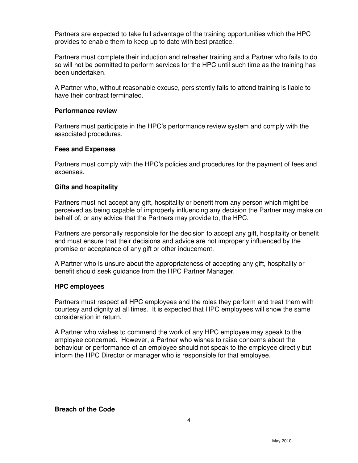Partners are expected to take full advantage of the training opportunities which the HPC provides to enable them to keep up to date with best practice.

Partners must complete their induction and refresher training and a Partner who fails to do so will not be permitted to perform services for the HPC until such time as the training has been undertaken.

A Partner who, without reasonable excuse, persistently fails to attend training is liable to have their contract terminated.

#### **Performance review**

Partners must participate in the HPC's performance review system and comply with the associated procedures.

#### **Fees and Expenses**

Partners must comply with the HPC's policies and procedures for the payment of fees and expenses.

#### **Gifts and hospitality**

Partners must not accept any gift, hospitality or benefit from any person which might be perceived as being capable of improperly influencing any decision the Partner may make on behalf of, or any advice that the Partners may provide to, the HPC.

Partners are personally responsible for the decision to accept any gift, hospitality or benefit and must ensure that their decisions and advice are not improperly influenced by the promise or acceptance of any gift or other inducement.

A Partner who is unsure about the appropriateness of accepting any gift, hospitality or benefit should seek guidance from the HPC Partner Manager.

#### **HPC employees**

Partners must respect all HPC employees and the roles they perform and treat them with courtesy and dignity at all times. It is expected that HPC employees will show the same consideration in return.

A Partner who wishes to commend the work of any HPC employee may speak to the employee concerned. However, a Partner who wishes to raise concerns about the behaviour or performance of an employee should not speak to the employee directly but inform the HPC Director or manager who is responsible for that employee.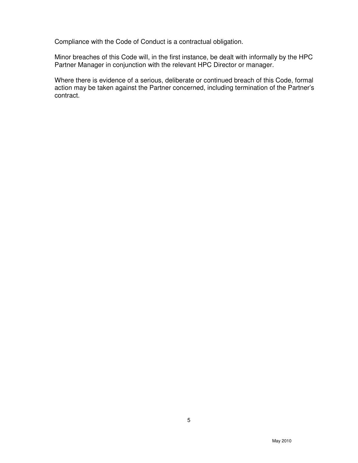Compliance with the Code of Conduct is a contractual obligation.

Minor breaches of this Code will, in the first instance, be dealt with informally by the HPC Partner Manager in conjunction with the relevant HPC Director or manager.

Where there is evidence of a serious, deliberate or continued breach of this Code, formal action may be taken against the Partner concerned, including termination of the Partner's contract.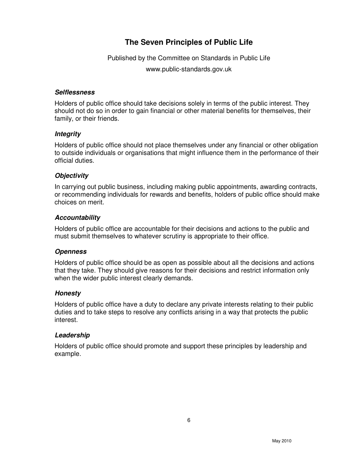# **The Seven Principles of Public Life**

Published by the Committee on Standards in Public Life

www.public-standards.gov.uk

### **Selflessness**

Holders of public office should take decisions solely in terms of the public interest. They should not do so in order to gain financial or other material benefits for themselves, their family, or their friends.

## **Integrity**

Holders of public office should not place themselves under any financial or other obligation to outside individuals or organisations that might influence them in the performance of their official duties.

## **Objectivity**

In carrying out public business, including making public appointments, awarding contracts, or recommending individuals for rewards and benefits, holders of public office should make choices on merit.

## **Accountability**

Holders of public office are accountable for their decisions and actions to the public and must submit themselves to whatever scrutiny is appropriate to their office.

#### **Openness**

Holders of public office should be as open as possible about all the decisions and actions that they take. They should give reasons for their decisions and restrict information only when the wider public interest clearly demands.

## **Honesty**

Holders of public office have a duty to declare any private interests relating to their public duties and to take steps to resolve any conflicts arising in a way that protects the public interest.

#### **Leadership**

Holders of public office should promote and support these principles by leadership and example.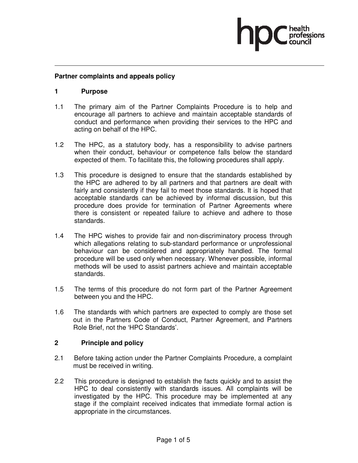#### **Partner complaints and appeals policy**

#### **1 Purpose**

- 1.1 The primary aim of the Partner Complaints Procedure is to help and encourage all partners to achieve and maintain acceptable standards of conduct and performance when providing their services to the HPC and acting on behalf of the HPC.
- 1.2 The HPC, as a statutory body, has a responsibility to advise partners when their conduct, behaviour or competence falls below the standard expected of them. To facilitate this, the following procedures shall apply.
- 1.3 This procedure is designed to ensure that the standards established by the HPC are adhered to by all partners and that partners are dealt with fairly and consistently if they fail to meet those standards. It is hoped that acceptable standards can be achieved by informal discussion, but this procedure does provide for termination of Partner Agreements where there is consistent or repeated failure to achieve and adhere to those standards.
- 1.4 The HPC wishes to provide fair and non-discriminatory process through which allegations relating to sub-standard performance or unprofessional behaviour can be considered and appropriately handled. The formal procedure will be used only when necessary. Whenever possible, informal methods will be used to assist partners achieve and maintain acceptable standards.
- 1.5 The terms of this procedure do not form part of the Partner Agreement between you and the HPC.
- 1.6 The standards with which partners are expected to comply are those set out in the Partners Code of Conduct, Partner Agreement, and Partners Role Brief, not the 'HPC Standards'.

#### **2 Principle and policy**

- 2.1 Before taking action under the Partner Complaints Procedure, a complaint must be received in writing.
- 2.2 This procedure is designed to establish the facts quickly and to assist the HPC to deal consistently with standards issues. All complaints will be investigated by the HPC. This procedure may be implemented at any stage if the complaint received indicates that immediate formal action is appropriate in the circumstances.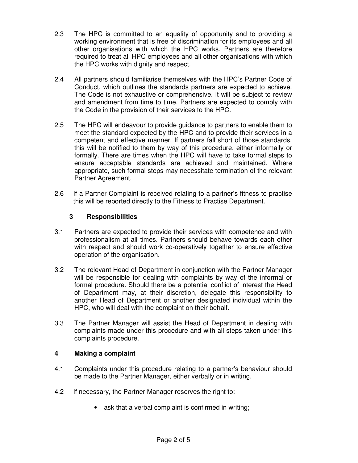- 2.3 The HPC is committed to an equality of opportunity and to providing a working environment that is free of discrimination for its employees and all other organisations with which the HPC works. Partners are therefore required to treat all HPC employees and all other organisations with which the HPC works with dignity and respect.
- 2.4 All partners should familiarise themselves with the HPC's Partner Code of Conduct, which outlines the standards partners are expected to achieve. The Code is not exhaustive or comprehensive. It will be subject to review and amendment from time to time. Partners are expected to comply with the Code in the provision of their services to the HPC.
- 2.5 The HPC will endeavour to provide guidance to partners to enable them to meet the standard expected by the HPC and to provide their services in a competent and effective manner. If partners fall short of those standards, this will be notified to them by way of this procedure, either informally or formally. There are times when the HPC will have to take formal steps to ensure acceptable standards are achieved and maintained. Where appropriate, such formal steps may necessitate termination of the relevant Partner Agreement.
- 2.6 If a Partner Complaint is received relating to a partner's fitness to practise this will be reported directly to the Fitness to Practise Department.

## **3 Responsibilities**

- 3.1 Partners are expected to provide their services with competence and with professionalism at all times. Partners should behave towards each other with respect and should work co-operatively together to ensure effective operation of the organisation.
- 3.2 The relevant Head of Department in conjunction with the Partner Manager will be responsible for dealing with complaints by way of the informal or formal procedure. Should there be a potential conflict of interest the Head of Department may, at their discretion, delegate this responsibility to another Head of Department or another designated individual within the HPC, who will deal with the complaint on their behalf.
- 3.3 The Partner Manager will assist the Head of Department in dealing with complaints made under this procedure and with all steps taken under this complaints procedure.

## **4 Making a complaint**

- 4.1 Complaints under this procedure relating to a partner's behaviour should be made to the Partner Manager, either verbally or in writing.
- 4.2 If necessary, the Partner Manager reserves the right to:
	- ask that a verbal complaint is confirmed in writing;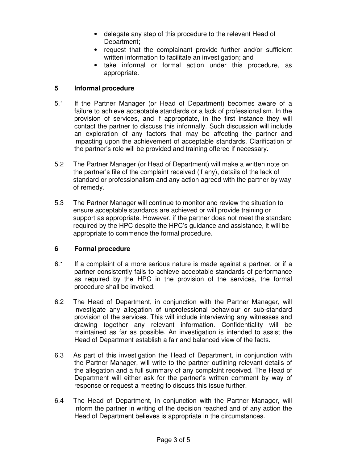- delegate any step of this procedure to the relevant Head of Department;
- request that the complainant provide further and/or sufficient written information to facilitate an investigation; and
- take informal or formal action under this procedure, as appropriate.

## **5 Informal procedure**

- 5.1 If the Partner Manager (or Head of Department) becomes aware of a failure to achieve acceptable standards or a lack of professionalism. In the provision of services, and if appropriate, in the first instance they will contact the partner to discuss this informally. Such discussion will include an exploration of any factors that may be affecting the partner and impacting upon the achievement of acceptable standards. Clarification of the partner's role will be provided and training offered if necessary.
- 5.2 The Partner Manager (or Head of Department) will make a written note on the partner's file of the complaint received (if any), details of the lack of standard or professionalism and any action agreed with the partner by way of remedy.
- 5.3 The Partner Manager will continue to monitor and review the situation to ensure acceptable standards are achieved or will provide training or support as appropriate. However, if the partner does not meet the standard required by the HPC despite the HPC's guidance and assistance, it will be appropriate to commence the formal procedure.

#### **6 Formal procedure**

- 6.1 If a complaint of a more serious nature is made against a partner, or if a partner consistently fails to achieve acceptable standards of performance as required by the HPC in the provision of the services, the formal procedure shall be invoked.
- 6.2 The Head of Department, in conjunction with the Partner Manager, will investigate any allegation of unprofessional behaviour or sub-standard provision of the services. This will include interviewing any witnesses and drawing together any relevant information. Confidentiality will be maintained as far as possible. An investigation is intended to assist the Head of Department establish a fair and balanced view of the facts.
- 6.3 As part of this investigation the Head of Department, in conjunction with the Partner Manager, will write to the partner outlining relevant details of the allegation and a full summary of any complaint received. The Head of Department will either ask for the partner's written comment by way of response or request a meeting to discuss this issue further.
- 6.4 The Head of Department, in conjunction with the Partner Manager, will inform the partner in writing of the decision reached and of any action the Head of Department believes is appropriate in the circumstances.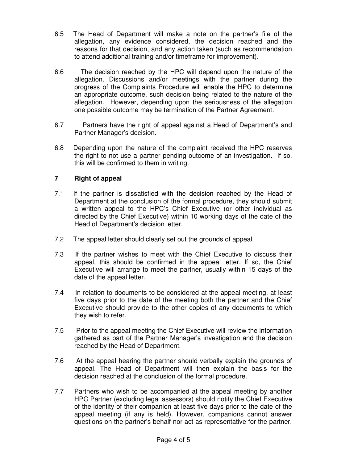- 6.5 The Head of Department will make a note on the partner's file of the allegation, any evidence considered, the decision reached and the reasons for that decision, and any action taken (such as recommendation to attend additional training and/or timeframe for improvement).
- 6.6 The decision reached by the HPC will depend upon the nature of the allegation. Discussions and/or meetings with the partner during the progress of the Complaints Procedure will enable the HPC to determine an appropriate outcome, such decision being related to the nature of the allegation. However, depending upon the seriousness of the allegation one possible outcome may be termination of the Partner Agreement.
- 6.7 Partners have the right of appeal against a Head of Department's and Partner Manager's decision.
- 6.8 Depending upon the nature of the complaint received the HPC reserves the right to not use a partner pending outcome of an investigation. If so, this will be confirmed to them in writing.

## **7 Right of appeal**

- 7.1 If the partner is dissatisfied with the decision reached by the Head of Department at the conclusion of the formal procedure, they should submit a written appeal to the HPC's Chief Executive (or other individual as directed by the Chief Executive) within 10 working days of the date of the Head of Department's decision letter.
- 7.2 The appeal letter should clearly set out the grounds of appeal.
- 7.3 If the partner wishes to meet with the Chief Executive to discuss their appeal, this should be confirmed in the appeal letter. If so, the Chief Executive will arrange to meet the partner, usually within 15 days of the date of the appeal letter.
- 7.4 In relation to documents to be considered at the appeal meeting, at least five days prior to the date of the meeting both the partner and the Chief Executive should provide to the other copies of any documents to which they wish to refer.
- 7.5 Prior to the appeal meeting the Chief Executive will review the information gathered as part of the Partner Manager's investigation and the decision reached by the Head of Department.
- 7.6 At the appeal hearing the partner should verbally explain the grounds of appeal. The Head of Department will then explain the basis for the decision reached at the conclusion of the formal procedure.
- 7.7 Partners who wish to be accompanied at the appeal meeting by another HPC Partner (excluding legal assessors) should notify the Chief Executive of the identity of their companion at least five days prior to the date of the appeal meeting (if any is held). However, companions cannot answer questions on the partner's behalf nor act as representative for the partner.